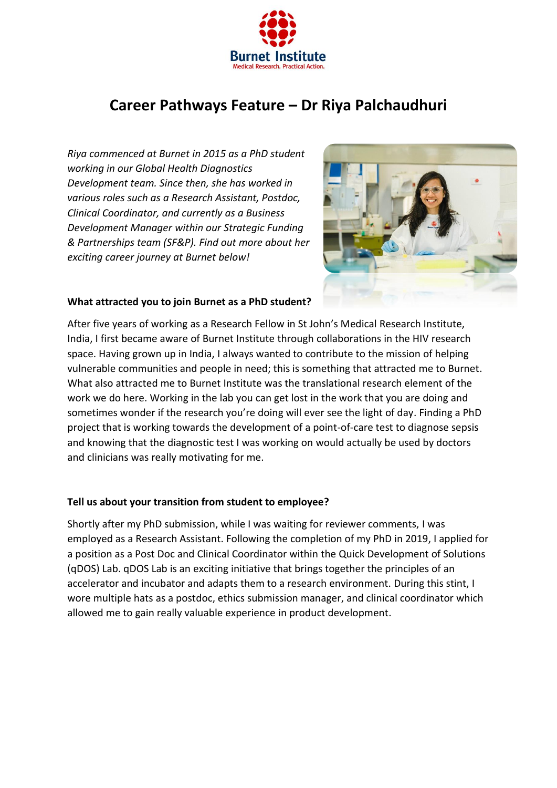

# **Career Pathways Feature – Dr Riya Palchaudhuri**

*Riya commenced at Burnet in 2015 as a PhD student working in our Global Health Diagnostics Development team. Since then, she has worked in various roles such as a Research Assistant, Postdoc, Clinical Coordinator, and currently as a Business Development Manager within our Strategic Funding & Partnerships team (SF&P). Find out more about her exciting career journey at Burnet below!*



### **What attracted you to join Burnet as a PhD student?**

After five years of working as a Research Fellow in St John's Medical Research Institute, India, I first became aware of Burnet Institute through collaborations in the HIV research space. Having grown up in India, I always wanted to contribute to the mission of helping vulnerable communities and people in need; this is something that attracted me to Burnet. What also attracted me to Burnet Institute was the translational research element of the work we do here. Working in the lab you can get lost in the work that you are doing and sometimes wonder if the research you're doing will ever see the light of day. Finding a PhD project that is working towards the development of a point-of-care test to diagnose sepsis and knowing that the diagnostic test I was working on would actually be used by doctors and clinicians was really motivating for me.

#### **Tell us about your transition from student to employee?**

Shortly after my PhD submission, while I was waiting for reviewer comments, I was employed as a Research Assistant. Following the completion of my PhD in 2019, I applied for a position as a Post Doc and Clinical Coordinator within the Quick Development of Solutions (qDOS) Lab. qDOS Lab is an exciting initiative that brings together the principles of an accelerator and incubator and adapts them to a research environment. During this stint, I wore multiple hats as a postdoc, ethics submission manager, and clinical coordinator which allowed me to gain really valuable experience in product development.